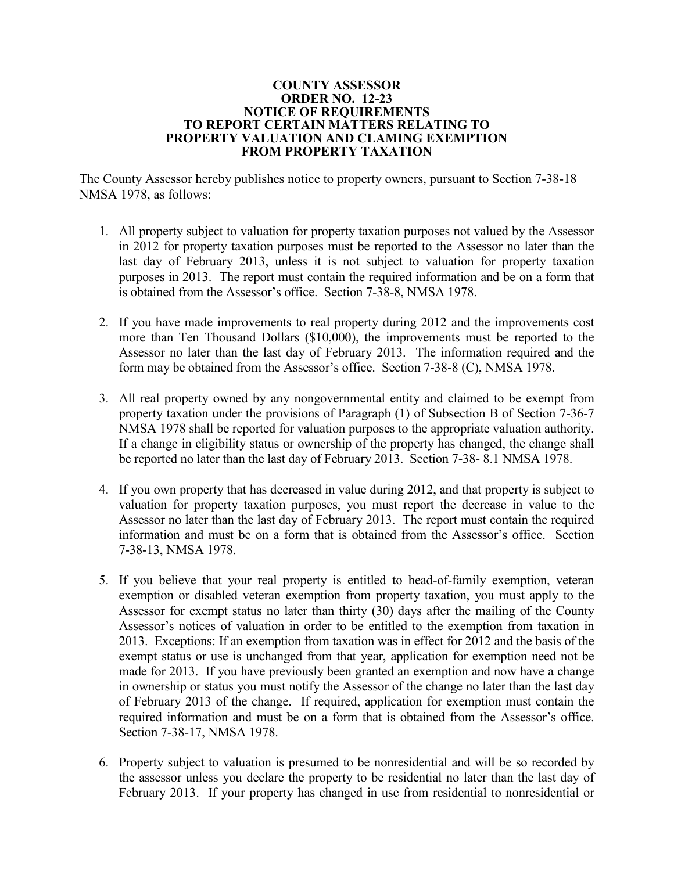## **COUNTY ASSESSOR ORDER NO. 12-23 NOTICE OF REQUIREMENTS TO REPORT CERTAIN MATTERS RELATING TO PROPERTY VALUATION AND CLAMING EXEMPTION FROM PROPERTY TAXATION**

The County Assessor hereby publishes notice to property owners, pursuant to Section 7-38-18 NMSA 1978, as follows:

- 1. All property subject to valuation for property taxation purposes not valued by the Assessor in 2012 for property taxation purposes must be reported to the Assessor no later than the last day of February 2013, unless it is not subject to valuation for property taxation purposes in 2013. The report must contain the required information and be on a form that is obtained from the Assessor's office. Section 7-38-8, NMSA 1978.
- 2. If you have made improvements to real property during 2012 and the improvements cost more than Ten Thousand Dollars (\$10,000), the improvements must be reported to the Assessor no later than the last day of February 2013. The information required and the form may be obtained from the Assessor's office. Section 7-38-8 (C), NMSA 1978.
- 3. All real property owned by any nongovernmental entity and claimed to be exempt from property taxation under the provisions of Paragraph (1) of Subsection B of Section 7-36-7 NMSA 1978 shall be reported for valuation purposes to the appropriate valuation authority. If a change in eligibility status or ownership of the property has changed, the change shall be reported no later than the last day of February 2013. Section 7-38- 8.1 NMSA 1978.
- 4. If you own property that has decreased in value during 2012, and that property is subject to valuation for property taxation purposes, you must report the decrease in value to the Assessor no later than the last day of February 2013. The report must contain the required information and must be on a form that is obtained from the Assessor's office. Section 7-38-13, NMSA 1978.
- 5. If you believe that your real property is entitled to head-of-family exemption, veteran exemption or disabled veteran exemption from property taxation, you must apply to the Assessor for exempt status no later than thirty (30) days after the mailing of the County Assessor's notices of valuation in order to be entitled to the exemption from taxation in 2013. Exceptions: If an exemption from taxation was in effect for 2012 and the basis of the exempt status or use is unchanged from that year, application for exemption need not be made for 2013. If you have previously been granted an exemption and now have a change in ownership or status you must notify the Assessor of the change no later than the last day of February 2013 of the change. If required, application for exemption must contain the required information and must be on a form that is obtained from the Assessor's office. Section 7-38-17, NMSA 1978.
- 6. Property subject to valuation is presumed to be nonresidential and will be so recorded by the assessor unless you declare the property to be residential no later than the last day of February 2013. If your property has changed in use from residential to nonresidential or